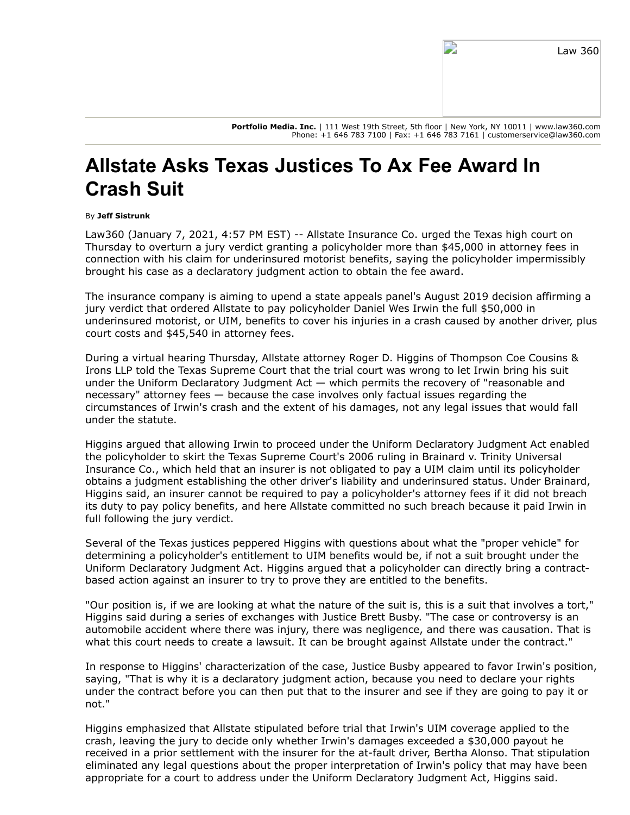**Portfolio Media. Inc.** | 111 West 19th Street, 5th floor | New York, NY 10011 | www.law360.com Phone: +1 646 783 7100 | Fax: +1 646 783 7161 | customerservice@law360.com

## **Allstate Asks Texas Justices To Ax Fee Award In Crash Suit**

## By **Jeff Sistrunk**

Law360 (January 7, 2021, 4:57 PM EST) -- [Allstate Insurance Co.](https://www.law360.com/companies/the-allstate-corp) urged the Texas high court on Thursday to overturn a jury verdict granting a policyholder more than \$45,000 in attorney fees in connection with his claim for underinsured motorist benefits, saying the policyholder impermissibly brought his case as a declaratory judgment action to obtain the fee award.

The insurance company is aiming to upend a state appeals panel's August 2019 decision affirming a jury verdict that ordered Allstate to pay policyholder Daniel Wes Irwin the full \$50,000 in underinsured motorist, or UIM, benefits to cover his injuries in a crash caused by another driver, plus court costs and \$45,540 in attorney fees.

[During a virtual hearing Thursday, Allstate attorney Roger D. Higgins of Thompson Coe Cousins &](https://www.law360.com/firms/thompson-coe) Irons LLP told the Texas Supreme Court that the trial court was wrong to let Irwin bring his suit under the Uniform Declaratory Judgment Act  $-$  which permits the recovery of "reasonable and necessary" attorney fees — because the case involves only factual issues regarding the circumstances of Irwin's crash and the extent of his damages, not any legal issues that would fall under the statute.

Higgins argued that allowing Irwin to proceed under the Uniform Declaratory Judgment Act enabled [the policyholder to skirt the Texas Supreme Court's 2006 ruling in Brainard v. Trinity Universal](https://www.law360.com/companies/universal-insurance-holdings-inc) Insurance Co., which held that an insurer is not obligated to pay a UIM claim until its policyholder obtains a judgment establishing the other driver's liability and underinsured status. Under Brainard, Higgins said, an insurer cannot be required to pay a policyholder's attorney fees if it did not breach its duty to pay policy benefits, and here Allstate committed no such breach because it paid Irwin in full following the jury verdict.

Several of the Texas justices peppered Higgins with questions about what the "proper vehicle" for determining a policyholder's entitlement to UIM benefits would be, if not a suit brought under the Uniform Declaratory Judgment Act. Higgins argued that a policyholder can directly bring a contractbased action against an insurer to try to prove they are entitled to the benefits.

"Our position is, if we are looking at what the nature of the suit is, this is a suit that involves a tort," Higgins said during a series of exchanges with Justice Brett Busby. "The case or controversy is an automobile accident where there was injury, there was negligence, and there was causation. That is what this court needs to create a lawsuit. It can be brought against Allstate under the contract."

In response to Higgins' characterization of the case, Justice Busby appeared to favor Irwin's position, saying, "That is why it is a declaratory judgment action, because you need to declare your rights under the contract before you can then put that to the insurer and see if they are going to pay it or not."

Higgins emphasized that Allstate stipulated before trial that Irwin's UIM coverage applied to the crash, leaving the jury to decide only whether Irwin's damages exceeded a \$30,000 payout he received in a prior settlement with the insurer for the at-fault driver, Bertha Alonso. That stipulation eliminated any legal questions about the proper interpretation of Irwin's policy that may have been appropriate for a court to address under the Uniform Declaratory Judgment Act, Higgins said.